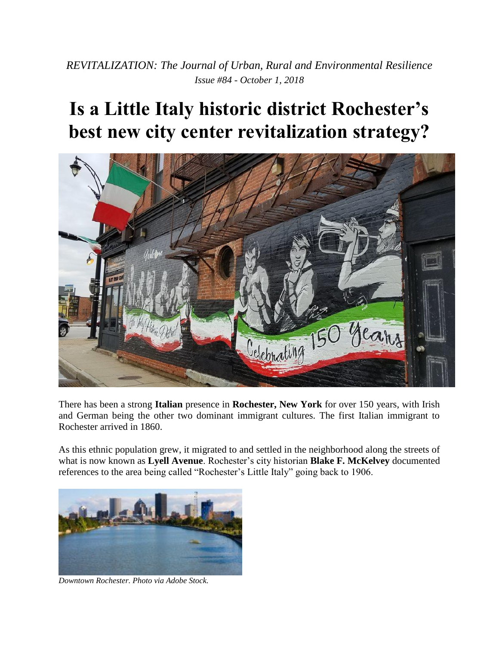*REVITALIZATION: The Journal of Urban, Rural and Environmental Resilience Issue #84 - October 1, 2018*

## **Is a Little Italy historic district Rochester's best new city center revitalization strategy?**



There has been a strong **Italian** presence in **Rochester, New York** for over 150 years, with Irish and German being the other two dominant immigrant cultures. The first Italian immigrant to Rochester arrived in 1860.

As this ethnic population grew, it migrated to and settled in the neighborhood along the streets of what is now known as **Lyell Avenue**. Rochester's city historian **Blake F. McKelvey** documented references to the area being called "Rochester's Little Italy" going back to 1906.



*Downtown Rochester. Photo via Adobe Stock.*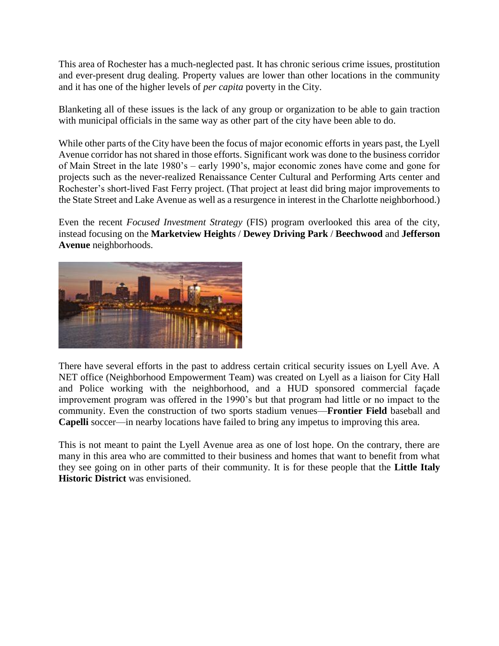This area of Rochester has a much-neglected past. It has chronic serious crime issues, prostitution and ever-present drug dealing. Property values are lower than other locations in the community and it has one of the higher levels of *per capita* poverty in the City.

Blanketing all of these issues is the lack of any group or organization to be able to gain traction with municipal officials in the same way as other part of the city have been able to do.

While other parts of the City have been the focus of major economic efforts in years past, the Lyell Avenue corridor has not shared in those efforts. Significant work was done to the business corridor of Main Street in the late 1980's – early 1990's, major economic zones have come and gone for projects such as the never-realized Renaissance Center Cultural and Performing Arts center and Rochester's short-lived Fast Ferry project. (That project at least did bring major improvements to the State Street and Lake Avenue as well as a resurgence in interest in the Charlotte neighborhood.)

Even the recent *Focused Investment Strategy* (FIS) program overlooked this area of the city, instead focusing on the **Marketview Heights** / **Dewey Driving Park** / **Beechwood** and **Jefferson Avenue** neighborhoods.



There have several efforts in the past to address certain critical security issues on Lyell Ave. A NET office (Neighborhood Empowerment Team) was created on Lyell as a liaison for City Hall and Police working with the neighborhood, and a HUD sponsored commercial façade improvement program was offered in the 1990's but that program had little or no impact to the community. Even the construction of two sports stadium venues—**Frontier Field** baseball and **Capelli** soccer—in nearby locations have failed to bring any impetus to improving this area.

This is not meant to paint the Lyell Avenue area as one of lost hope. On the contrary, there are many in this area who are committed to their business and homes that want to benefit from what they see going on in other parts of their community. It is for these people that the **Little Italy Historic District** was envisioned.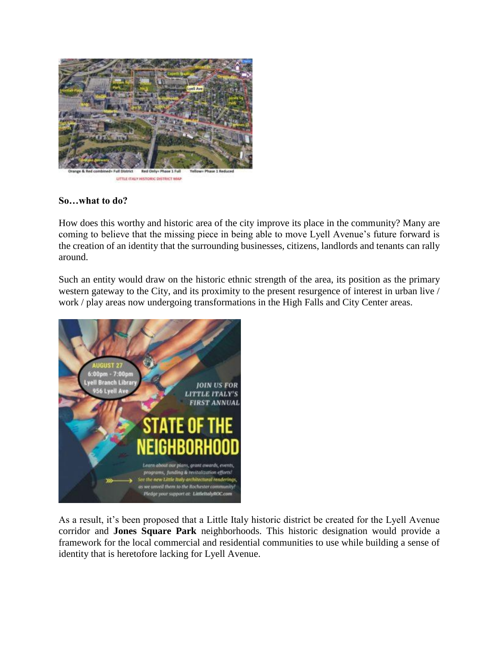

LITTLE (TALY HISTORIC DISTRICT MAP)

## **So…what to do?**

How does this worthy and historic area of the city improve its place in the community? Many are coming to believe that the missing piece in being able to move Lyell Avenue's future forward is the creation of an identity that the surrounding businesses, citizens, landlords and tenants can rally around.

Such an entity would draw on the historic ethnic strength of the area, its position as the primary western gateway to the City, and its proximity to the present resurgence of interest in urban live / work / play areas now undergoing transformations in the High Falls and City Center areas.



As a result, it's been proposed that a Little Italy historic district be created for the Lyell Avenue corridor and **Jones Square Park** neighborhoods. This historic designation would provide a framework for the local commercial and residential communities to use while building a sense of identity that is heretofore lacking for Lyell Avenue.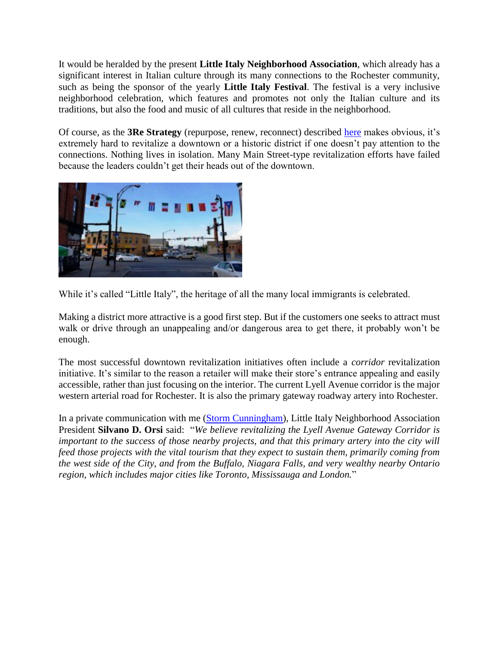It would be heralded by the present **Little Italy Neighborhood Association**, which already has a significant interest in Italian culture through its many connections to the Rochester community, such as being the sponsor of the yearly **Little Italy Festival**. The festival is a very inclusive neighborhood celebration, which features and promotes not only the Italian culture and its traditions, but also the food and music of all cultures that reside in the neighborhood.

Of course, as the **3Re Strategy** (repurpose, renew, reconnect) described [here](https://revitalization.org/how-to-revitalize) makes obvious, it's extremely hard to revitalize a downtown or a historic district if one doesn't pay attention to the connections. Nothing lives in isolation. Many Main Street-type revitalization efforts have failed because the leaders couldn't get their heads out of the downtown.



While it's called "Little Italy", the heritage of all the many local immigrants is celebrated.

Making a district more attractive is a good first step. But if the customers one seeks to attract must walk or drive through an unappealing and/or dangerous area to get there, it probably won't be enough.

The most successful downtown revitalization initiatives often include a *corridor* revitalization initiative. It's similar to the reason a retailer will make their store's entrance appealing and easily accessible, rather than just focusing on the interior. The current Lyell Avenue corridor is the major western arterial road for Rochester. It is also the primary gateway roadway artery into Rochester.

In a private communication with me [\(Storm Cunningham\)](https://stormcunningham.com/), Little Italy Neighborhood Association President **Silvano D. Orsi** said: "*We believe revitalizing the Lyell Avenue Gateway Corridor is important to the success of those nearby projects, and that this primary artery into the city will feed those projects with the vital tourism that they expect to sustain them, primarily coming from the west side of the City, and from the Buffalo, Niagara Falls, and very wealthy nearby Ontario region, which includes major cities like Toronto, Mississauga and London.*"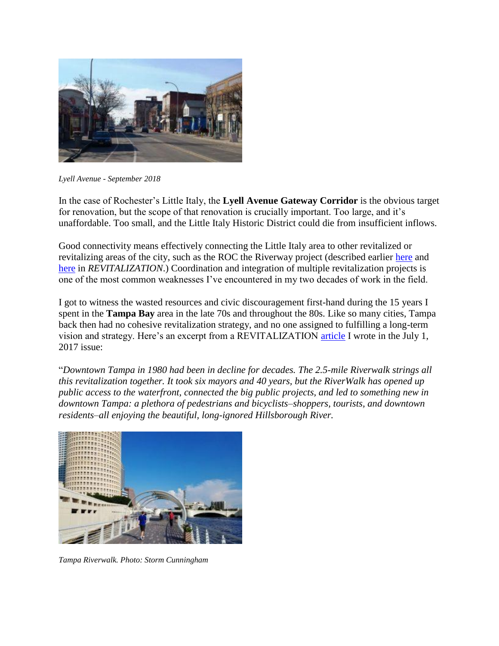

*Lyell Avenue - September 2018*

In the case of Rochester's Little Italy, the **Lyell Avenue Gateway Corridor** is the obvious target for renovation, but the scope of that renovation is crucially important. Too large, and it's unaffordable. Too small, and the Little Italy Historic District could die from insufficient inflows.

Good connectivity means effectively connecting the Little Italy area to other revitalized or revitalizing areas of the city, such as the ROC the Riverway project (described earlier [here](https://revitalization.org/article/rochesters-genesee-river-corridor-gets-50-million-revitalization-gov-cuomo/) and [here](https://revitalization.org/article/13-projects-will-repurpose-renew-and-reconnect-the-rochester-new-york-waterfront/) in *REVITALIZATION*.) Coordination and integration of multiple revitalization projects is one of the most common weaknesses I've encountered in my two decades of work in the field.

I got to witness the wasted resources and civic discouragement first-hand during the 15 years I spent in the **Tampa Bay** area in the late 70s and throughout the 80s. Like so many cities, Tampa back then had no cohesive revitalization strategy, and no one assigned to fulfilling a long-term vision and strategy. Here's an excerpt from a REVITALIZATION [article](https://revitalization.org/article/33391) I wrote in the July 1, 2017 issue:

"*Downtown Tampa in 1980 had been in decline for decades. The 2.5-mile Riverwalk strings all this revitalization together. It took six mayors and 40 years, but the RiverWalk has opened up public access to the waterfront, connected the big public projects, and led to something new in downtown Tampa: a plethora of pedestrians and bicyclists–shoppers, tourists, and downtown residents–all enjoying the beautiful, long-ignored Hillsborough River.*



*Tampa Riverwalk. Photo: Storm Cunningham*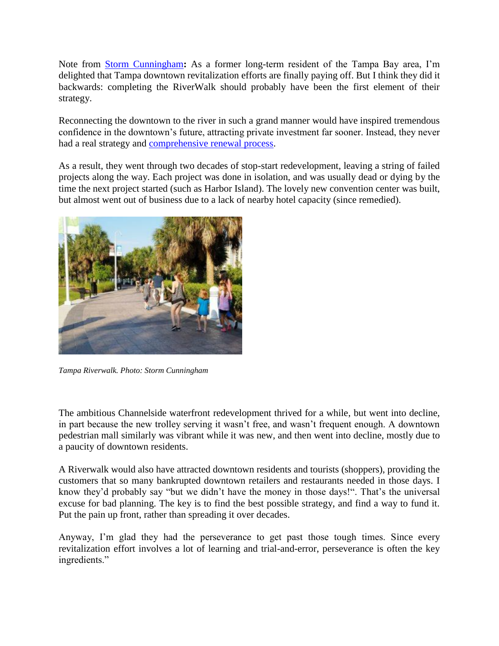Note from [Storm Cunningham](https://stormcunningham.com/)**:** As a former long-term resident of the Tampa Bay area, I'm delighted that Tampa downtown revitalization efforts are finally paying off. But I think they did it backwards: completing the RiverWalk should probably have been the first element of their strategy.

Reconnecting the downtown to the river in such a grand manner would have inspired tremendous confidence in the downtown's future, attracting private investment far sooner. Instead, they never had a real strategy and [comprehensive renewal process.](https://revitalization.org/how-to-revitalize)

As a result, they went through two decades of stop-start redevelopment, leaving a string of failed projects along the way. Each project was done in isolation, and was usually dead or dying by the time the next project started (such as Harbor Island). The lovely new convention center was built, but almost went out of business due to a lack of nearby hotel capacity (since remedied).



*Tampa Riverwalk. Photo: Storm Cunningham*

The ambitious Channelside waterfront redevelopment thrived for a while, but went into decline, in part because the new trolley serving it wasn't free, and wasn't frequent enough. A downtown pedestrian mall similarly was vibrant while it was new, and then went into decline, mostly due to a paucity of downtown residents.

A Riverwalk would also have attracted downtown residents and tourists (shoppers), providing the customers that so many bankrupted downtown retailers and restaurants needed in those days. I know they'd probably say "but we didn't have the money in those days!". That's the universal excuse for bad planning. The key is to find the best possible strategy, and find a way to fund it. Put the pain up front, rather than spreading it over decades.

Anyway, I'm glad they had the perseverance to get past those tough times. Since every revitalization effort involves a lot of learning and trial-and-error, perseverance is often the key ingredients."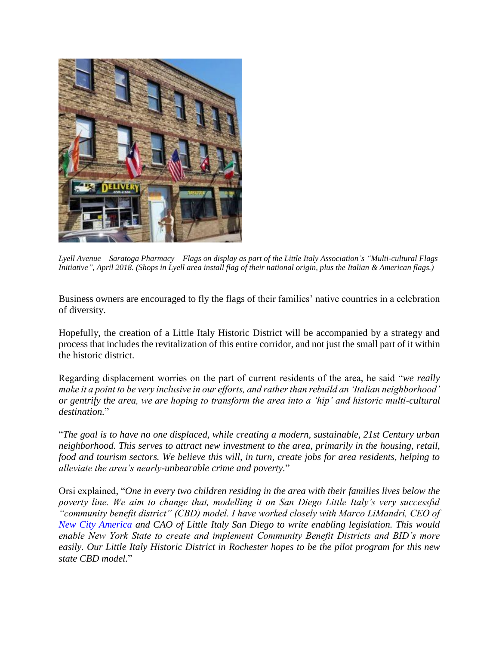

*Lyell Avenue – Saratoga Pharmacy – Flags on display as part of the Little Italy Association's "Multi-cultural Flags Initiative", April 2018. (Shops in Lyell area install flag of their national origin, plus the Italian & American flags.)*

Business owners are encouraged to fly the flags of their families' native countries in a celebration of diversity.

Hopefully, the creation of a Little Italy Historic District will be accompanied by a strategy and process that includes the revitalization of this entire corridor, and not just the small part of it within the historic district.

Regarding displacement worries on the part of current residents of the area, he said "*we really make it a point to be very inclusive in our efforts, and rather than rebuild an 'Italian neighborhood' or gentrify the area, we are hoping to transform the area into a 'hip' and historic multi-cultural destination.*"

"*The goal is to have no one displaced, while creating a modern, sustainable, 21st Century urban neighborhood. This serves to attract new investment to the area, primarily in the housing, retail, food and tourism sectors. We believe this will, in turn, create jobs for area residents, helping to alleviate the area's nearly-unbearable crime and poverty.*"

Orsi explained, "*One in every two children residing in the area with their families lives below the poverty line. We aim to change that, modelling it on San Diego Little Italy's very successful "community benefit district" (CBD) model. I have worked closely with Marco LiMandri, CEO of [New City America](http://www.newcityamerica.com/) and CAO of Little Italy San Diego to write enabling legislation. This would enable New York State to create and implement Community Benefit Districts and BID's more easily. Our Little Italy Historic District in Rochester hopes to be the pilot program for this new state CBD model.*"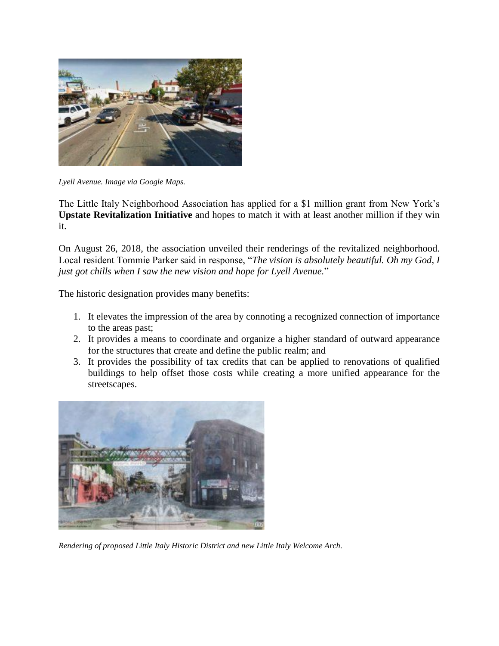

*Lyell Avenue. Image via Google Maps.*

The Little Italy Neighborhood Association has applied for a \$1 million grant from New York's **Upstate Revitalization Initiative** and hopes to match it with at least another million if they win it.

On August 26, 2018, the association unveiled their renderings of the revitalized neighborhood. Local resident Tommie Parker said in response, "*The vision is absolutely beautiful. Oh my God, I just got chills when I saw the new vision and hope for Lyell Avenue.*"

The historic designation provides many benefits:

- 1. It elevates the impression of the area by connoting a recognized connection of importance to the areas past;
- 2. It provides a means to coordinate and organize a higher standard of outward appearance for the structures that create and define the public realm; and
- 3. It provides the possibility of tax credits that can be applied to renovations of qualified buildings to help offset those costs while creating a more unified appearance for the streetscapes.



*Rendering of proposed Little Italy Historic District and new Little Italy Welcome Arch.*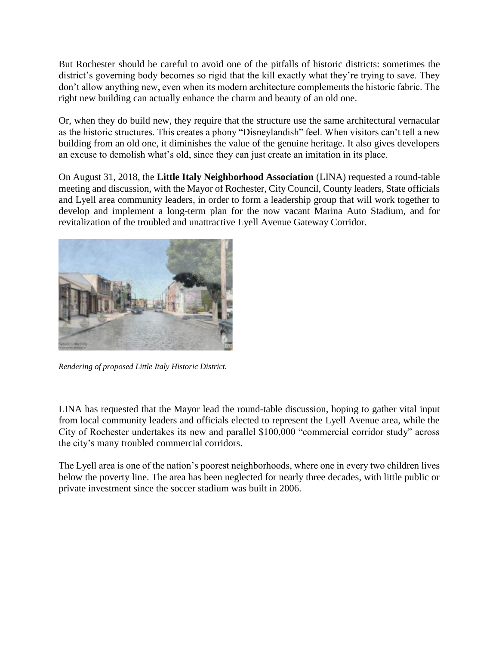But Rochester should be careful to avoid one of the pitfalls of historic districts: sometimes the district's governing body becomes so rigid that the kill exactly what they're trying to save. They don't allow anything new, even when its modern architecture complements the historic fabric. The right new building can actually enhance the charm and beauty of an old one.

Or, when they do build new, they require that the structure use the same architectural vernacular as the historic structures. This creates a phony "Disneylandish" feel. When visitors can't tell a new building from an old one, it diminishes the value of the genuine heritage. It also gives developers an excuse to demolish what's old, since they can just create an imitation in its place.

On August 31, 2018, the **Little Italy Neighborhood Association** (LINA) requested a round-table meeting and discussion, with the Mayor of Rochester, City Council, County leaders, State officials and Lyell area community leaders, in order to form a leadership group that will work together to develop and implement a long-term plan for the now vacant Marina Auto Stadium, and for revitalization of the troubled and unattractive Lyell Avenue Gateway Corridor.



*Rendering of proposed Little Italy Historic District.*

LINA has requested that the Mayor lead the round-table discussion, hoping to gather vital input from local community leaders and officials elected to represent the Lyell Avenue area, while the City of Rochester undertakes its new and parallel \$100,000 "commercial corridor study" across the city's many troubled commercial corridors.

The Lyell area is one of the nation's poorest neighborhoods, where one in every two children lives below the poverty line. The area has been neglected for nearly three decades, with little public or private investment since the soccer stadium was built in 2006.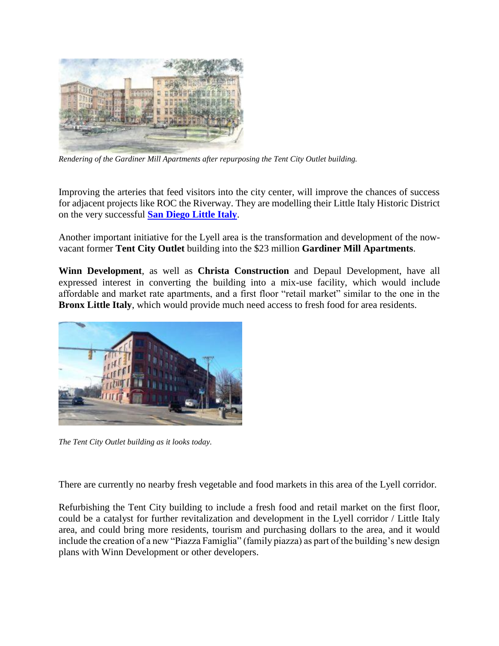

*Rendering of the Gardiner Mill Apartments after repurposing the Tent City Outlet building.*

Improving the arteries that feed visitors into the city center, will improve the chances of success for adjacent projects like ROC the Riverway. They are modelling their Little Italy Historic District on the very successful **[San Diego Little Italy](http://www.littleitalysd.com/)**.

Another important initiative for the Lyell area is the transformation and development of the nowvacant former **Tent City Outlet** building into the \$23 million **Gardiner Mill Apartments**.

**Winn Development**, as well as **Christa Construction** and Depaul Development, have all expressed interest in converting the building into a mix-use facility, which would include affordable and market rate apartments, and a first floor "retail market" similar to the one in the **Bronx Little Italy**, which would provide much need access to fresh food for area residents.



*The Tent City Outlet building as it looks today.*

There are currently no nearby fresh vegetable and food markets in this area of the Lyell corridor.

Refurbishing the Tent City building to include a fresh food and retail market on the first floor, could be a catalyst for further revitalization and development in the Lyell corridor / Little Italy area, and could bring more residents, tourism and purchasing dollars to the area, and it would include the creation of a new "Piazza Famiglia" (family piazza) as part of the building's new design plans with Winn Development or other developers.